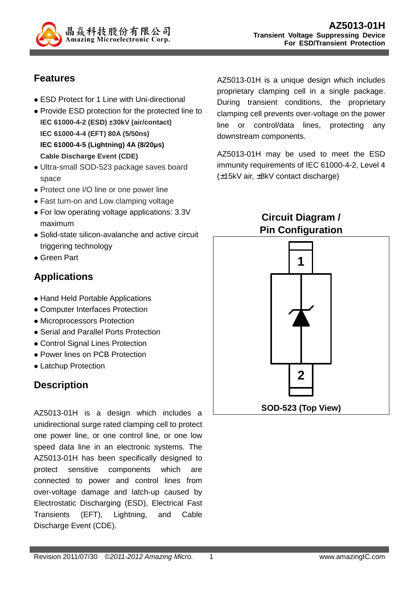

## **Features**

- ESD Protect for 1 Line with Uni-directional
- Provide ESD protection for the protected line to **IEC 61000-4-2 (ESD) ±30kV (air/contact) IEC 61000-4-4 (EFT) 80A (5/50ns) IEC 61000-4-5 (Lightning) 4A (8/20µs) Cable Discharge Event (CDE)**
- Ultra-small SOD-523 package saves board space
- Protect one I/O line or one power line
- Fast turn-on and Low clamping voltage
- For low operating voltage applications: 3.3V maximum
- Solid-state silicon-avalanche and active circuit triggering technology
- Green Part

## **Applications**

- Hand Held Portable Applications
- Computer Interfaces Protection
- Microprocessors Protection
- Serial and Parallel Ports Protection
- Control Signal Lines Protection
- Power lines on PCB Protection
- Latchup Protection

## **Description**

AZ5013-01H is a design which includes a unidirectional surge rated clamping cell to protect one power line, or one control line, or one low speed data line in an electronic systems. The AZ5013-01H has been specifically designed to protect sensitive components which are connected to power and control lines from over-voltage damage and latch-up caused by Electrostatic Discharging (ESD), Electrical Fast Transients (EFT), Lightning, and Cable Discharge Event (CDE).

AZ5013-01H is a unique design which includes proprietary clamping cell in a single package. During transient conditions, the proprietary clamping cell prevents over-voltage on the power line or control/data lines, protecting any downstream components.

AZ5013-01H may be used to meet the ESD immunity requirements of IEC 61000-4-2, Level 4 (±15kV air, ±8kV contact discharge)

> **Circuit Diagram / Pin Configuration**

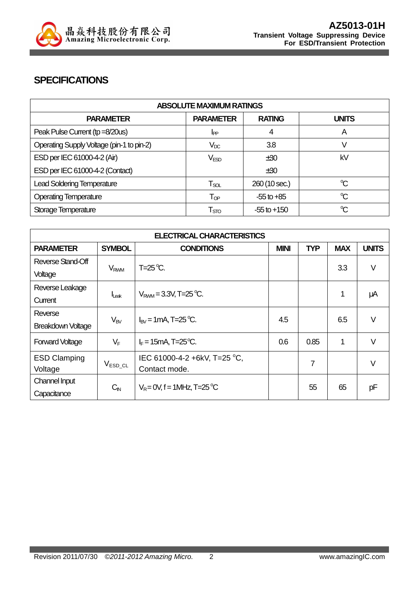

#### **SPECIFICATIONS**

| <b>ABSOLUTE MAXIMUM RATINGS</b>           |                             |                 |                      |
|-------------------------------------------|-----------------------------|-----------------|----------------------|
| <b>PARAMETER</b>                          | <b>PARAMETER</b>            | <b>RATING</b>   | <b>UNITS</b>         |
| Peak Pulse Current (tp =8/20us)           | I <sub>PP</sub>             | 4               | A                    |
| Operating Supply Voltage (pin-1 to pin-2) | $V_{DC}$                    | 3.8             |                      |
| ESD per IEC 61000-4-2 (Air)               | $V_{ESD}$                   | ±30             | kV                   |
| ESD per IEC 61000-4-2 (Contact)           |                             | ±30             |                      |
| <b>Lead Soldering Temperature</b>         | $\mathsf{T}_{\mathsf{SOL}}$ | 260 (10 sec.)   | $\mathrm{C}$         |
| <b>Operating Temperature</b>              | $\mathsf{T}_{\textsf{OP}}$  | $-55$ to $+85$  | $\mathrm{C}^{\circ}$ |
| Storage Temperature                       | $\mathsf{T}_{\text{STO}}$   | $-55$ to $+150$ | $\mathrm{C}$         |

| <b>ELECTRICAL CHARACTERISTICS</b> |                        |                                             |     |            |            |              |
|-----------------------------------|------------------------|---------------------------------------------|-----|------------|------------|--------------|
| <b>PARAMETER</b>                  | <b>SYMBOL</b>          | <b>MINI</b><br><b>CONDITIONS</b>            |     | <b>TYP</b> | <b>MAX</b> | <b>UNITS</b> |
| Reverse Stand-Off                 |                        | $T=25^{\circ}C$ .                           |     |            |            | V            |
| Voltage                           | <b>V<sub>RWM</sub></b> |                                             |     |            | 3.3        |              |
| Reverse Leakage                   |                        | $V_{\text{RWM}} = 3.3V$ , T=25 °C.          |     |            | 1          |              |
| Current                           | $I_{\text{Leak}}$      |                                             |     |            |            | μA           |
| Reverse                           |                        | $I_{\text{RV}}$ = 1 mA, T=25 °C.            | 4.5 |            | 6.5        | $\vee$       |
| <b>Breakdown Voltage</b>          | $V_{BV}$               |                                             |     |            |            |              |
| <b>Forward Voltage</b>            | $V_F$                  | $I_F = 15 \text{mA}$ , T=25 <sup>o</sup> C. | 0.6 | 0.85       | 1          | V            |
| <b>ESD Clamping</b>               |                        | IEC 61000-4-2 +6kV, T=25 °C,                |     | 7          |            | $\vee$       |
| Voltage                           | $V_{ESD\_CL}$          | Contact mode.                               |     |            |            |              |
| Channel Input                     | $C_{\text{IN}}$        | $V_R = 0V$ , f = 1MHz, T=25 °C              |     | 55         | 65         | pF           |
| Capacitance                       |                        |                                             |     |            |            |              |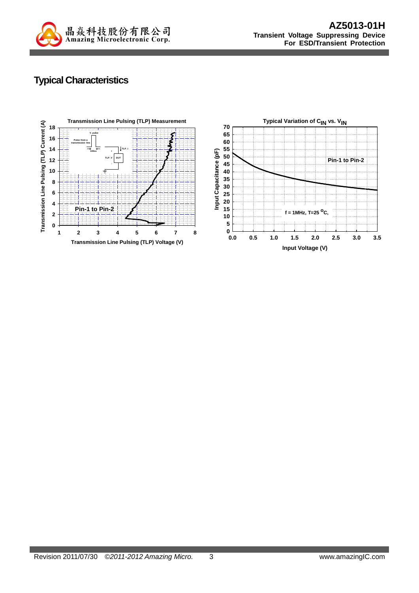

# **Typical Characteristics**

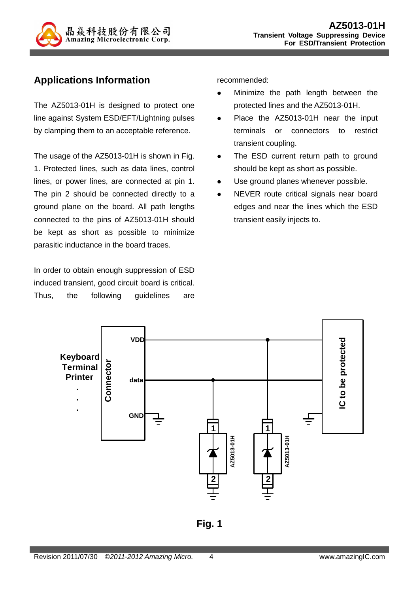

## **Applications Information**

The AZ5013-01H is designed to protect one line against System ESD/EFT/Lightning pulses by clamping them to an acceptable reference.

The usage of the AZ5013-01H is shown in Fig. 1. Protected lines, such as data lines, control lines, or power lines, are connected at pin 1. The pin 2 should be connected directly to a ground plane on the board. All path lengths connected to the pins of AZ5013-01H should be kept as short as possible to minimize parasitic inductance in the board traces.

In order to obtain enough suppression of ESD induced transient, good circuit board is critical. Thus, the following guidelines are recommended:

- **•** Minimize the path length between the protected lines and the AZ5013-01H.
- Place the AZ5013-01H near the input terminals or connectors to restrict transient coupling.
- The ESD current return path to ground should be kept as short as possible.
- Use ground planes whenever possible.
- NEVER route critical signals near board edges and near the lines which the ESD transient easily injects to.



**Fig. 1**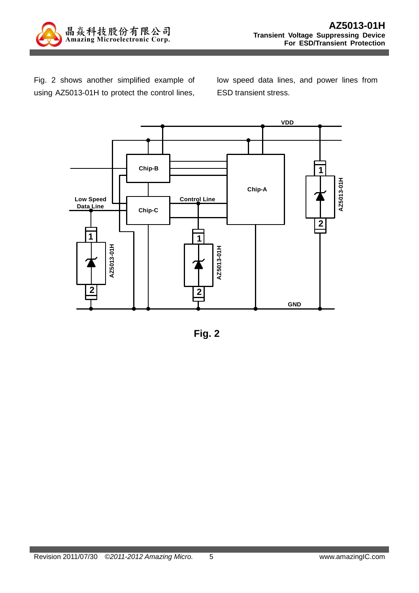

Fig. 2 shows another simplified example of using AZ5013-01H to protect the control lines,

low speed data lines, and power lines from ESD transient stress.



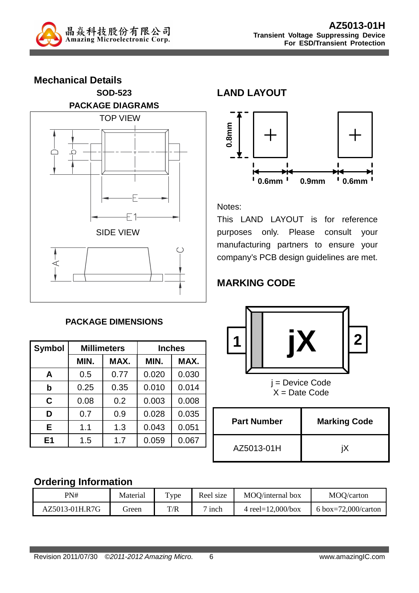

**Mechanical Details SOD-523 PACKAGE DIAGRAMS**  TOP VIEW O SIDE VIEW

#### **PACKAGE DIMENSIONS**

| <b>Symbol</b>  |      | <b>Millimeters</b> | <b>Inches</b> |       |  |
|----------------|------|--------------------|---------------|-------|--|
|                | MIN. | MAX.               | MIN.          | MAX.  |  |
| A              | 0.5  | 0.77               | 0.020         | 0.030 |  |
| $\mathbf b$    | 0.25 | 0.35               | 0.010         | 0.014 |  |
| C              | 0.08 | 0.2                | 0.003         | 0.008 |  |
| D              | 0.7  | 0.9                | 0.028         | 0.035 |  |
| Е              | 1.1  | 1.3                | 0.043         | 0.051 |  |
| E <sub>1</sub> | 1.5  | 1.7                | 0.059         | 0.067 |  |

# **LAND LAYOUT**



Notes:

This LAND LAYOUT is for reference purposes only. Please consult your manufacturing partners to ensure your company's PCB design guidelines are met.

# **MARKING CODE**



 $X = Date Code$ 

| <b>Part Number</b> | <b>Marking Code</b> |  |  |
|--------------------|---------------------|--|--|
| AZ5013-01H         |                     |  |  |

## **Ordering Information**

| PN#            | Material | $_{\text{Type}}$ | Reel size        | MOO/internal box      | MOO/carton          |
|----------------|----------|------------------|------------------|-----------------------|---------------------|
| AZ5013-01H.R7G | freen    | T/R              | <sub>1</sub> nch | 4 reel= $12,000/b$ ox | 6 box=72,000/carton |